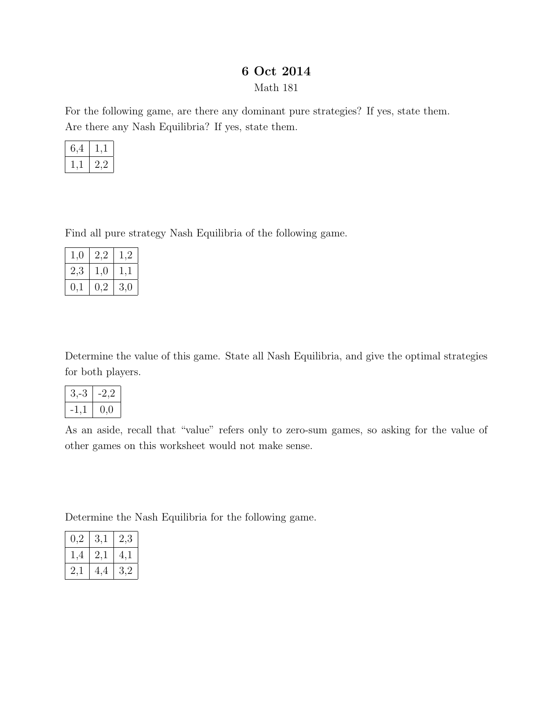## 6 Oct 2014

Math 181

For the following game, are there any dominant pure strategies? If yes, state them. Are there any Nash Equilibria? If yes, state them.

| ,4 |    |
|----|----|
|    | ソソ |

Find all pure strategy Nash Equilibria of the following game.

| 1,0       | $2{,}2$ | $^{1,2}$ |
|-----------|---------|----------|
| $^{2,3}$  | 1,0     | I,I      |
| $\rm 0,1$ | 0,2     | 3,0      |

Determine the value of this game. State all Nash Equilibria, and give the optimal strategies for both players.

| $3, -3$ | -2.2     |
|---------|----------|
|         | $_{0,0}$ |

As an aside, recall that "value" refers only to zero-sum games, so asking for the value of other games on this worksheet would not make sense.

Determine the Nash Equilibria for the following game.

| $0.2\,$ | 3,1 | 2,3 |
|---------|-----|-----|
| 1,4     | 2,1 | 4,1 |
| 2,1     | 4,4 | 3,2 |